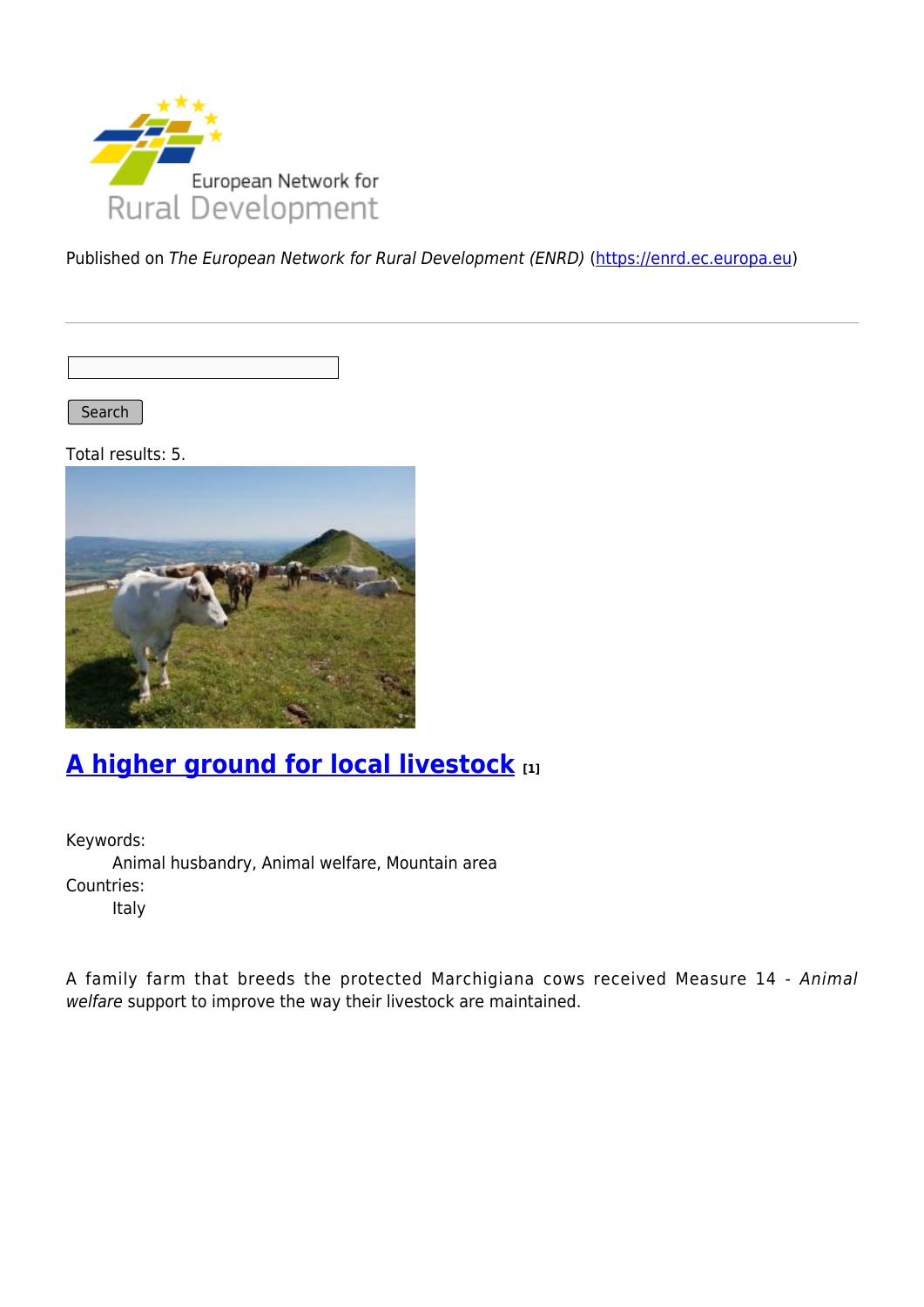

Published on The European Network for Rural Development (ENRD) [\(https://enrd.ec.europa.eu](https://enrd.ec.europa.eu))

Search |

Total results: 5.



### **[A higher ground for local livestock](https://enrd.ec.europa.eu/projects-practice/higher-ground-local-livestock_en) [1]**

Keywords: Animal husbandry, Animal welfare, Mountain area Countries: Italy

A family farm that breeds the protected Marchigiana cows received Measure 14 - Animal welfare support to improve the way their livestock are maintained.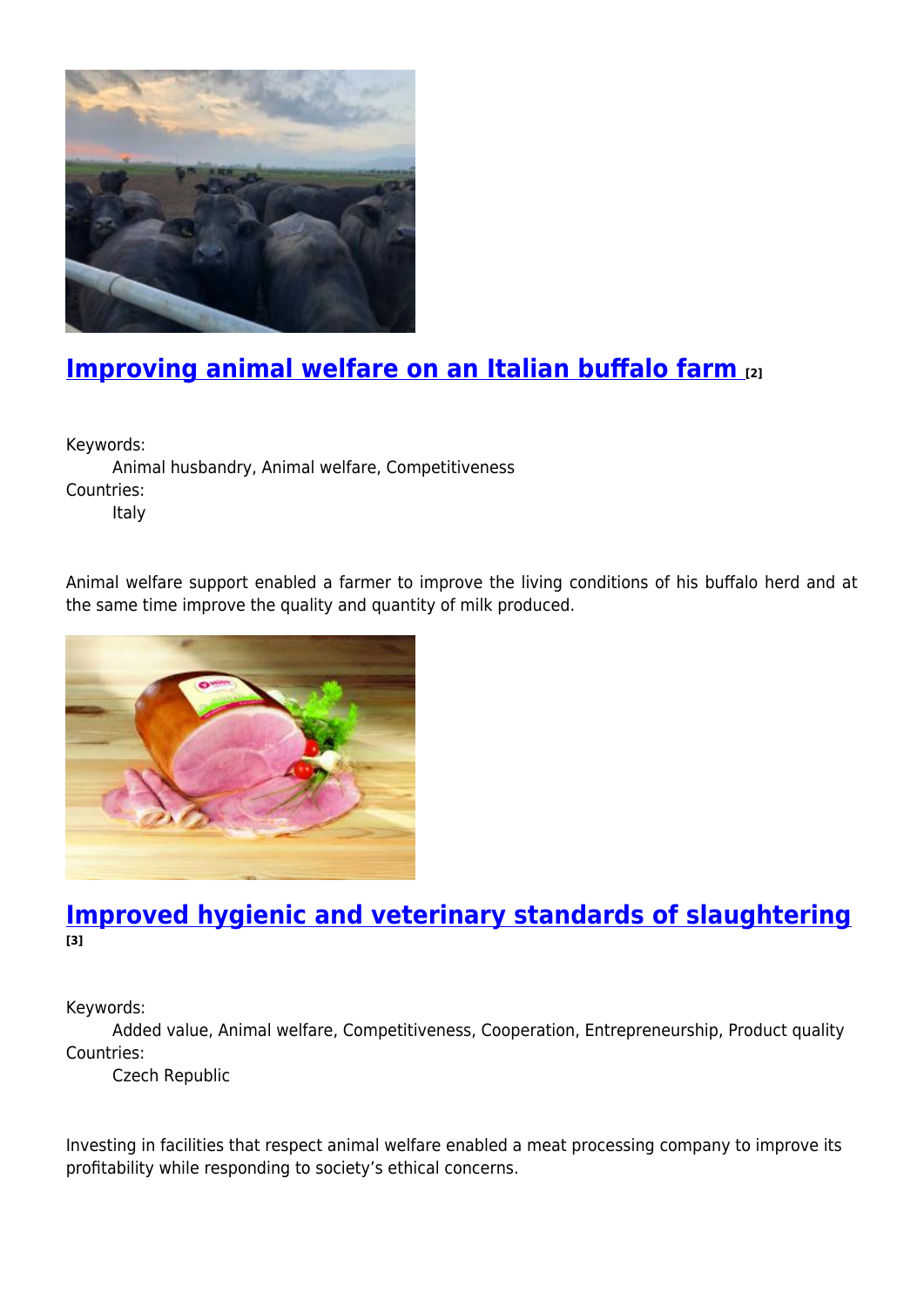

## **[Improving animal welfare on an Italian buffalo farm](https://enrd.ec.europa.eu/projects-practice/improving-animal-welfare-italian-buffalo-farm_en) [2]**

Keywords:

Animal husbandry, Animal welfare, Competitiveness Countries:

Italy

Animal welfare support enabled a farmer to improve the living conditions of his buffalo herd and at the same time improve the quality and quantity of milk produced.



### **[Improved hygienic and veterinary standards of slaughtering](https://enrd.ec.europa.eu/projects-practice/improved-hygienic-and-veterinary-standards-slaughtering_en) [3]**

Keywords:

Added value, Animal welfare, Competitiveness, Cooperation, Entrepreneurship, Product quality Countries:

Czech Republic

Investing in facilities that respect animal welfare enabled a meat processing company to improve its profitability while responding to society's ethical concerns.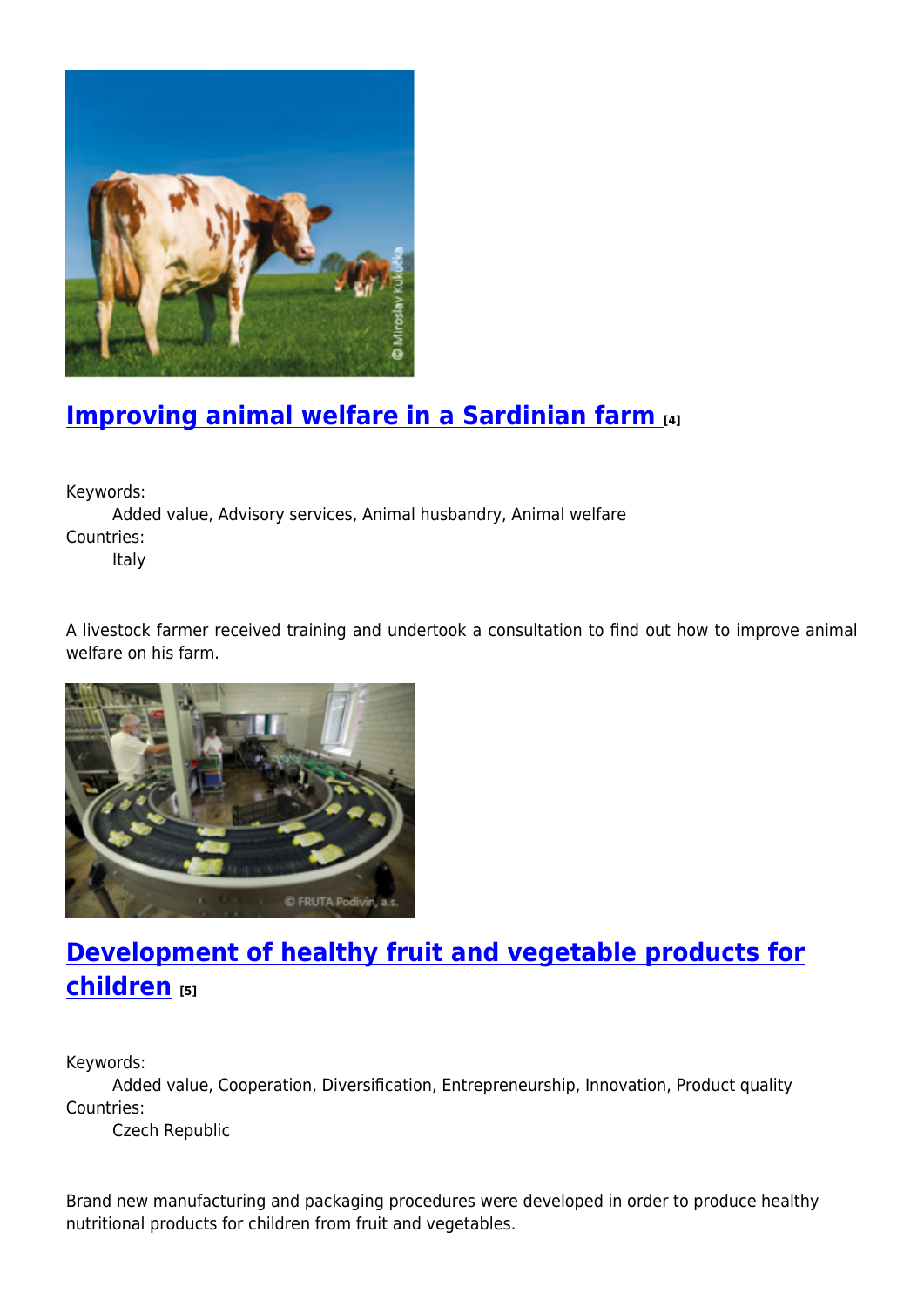

# **[Improving animal welfare in a Sardinian farm](https://enrd.ec.europa.eu/projects-practice/improving-animal-welfare-sardinian-farm_en) [4]**

Keywords:

Added value, Advisory services, Animal husbandry, Animal welfare Countries:

Italy

A livestock farmer received training and undertook a consultation to find out how to improve animal welfare on his farm.



# **[Development of healthy fruit and vegetable products for](https://enrd.ec.europa.eu/projects-practice/development-healthy-fruit-and-vegetable-products-children_en) [children](https://enrd.ec.europa.eu/projects-practice/development-healthy-fruit-and-vegetable-products-children_en) [5]**

Keywords:

Added value, Cooperation, Diversification, Entrepreneurship, Innovation, Product quality Countries:

Czech Republic

Brand new manufacturing and packaging procedures were developed in order to produce healthy nutritional products for children from fruit and vegetables.